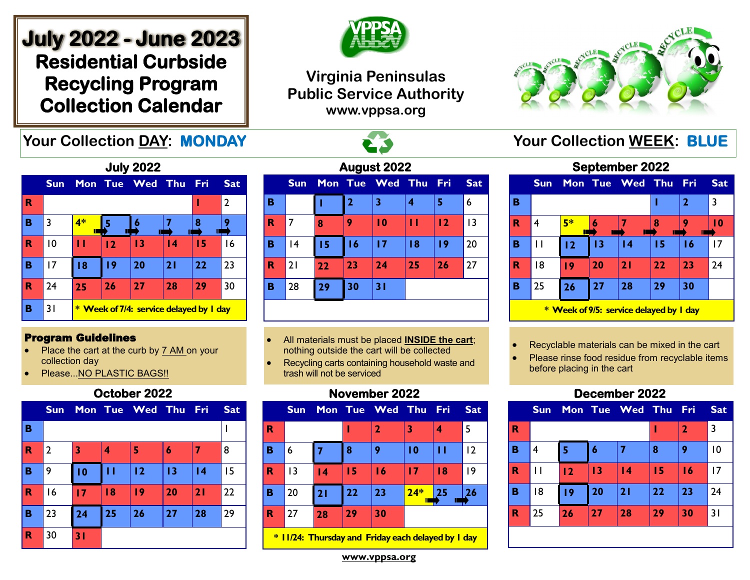# **July 2022 - June 2023 Residential Curbside Recycling Program Collection Calendar**

# **Your Collection DAY: MONDAY And All Acts of All Acts of All Acts Your Collection WEEK: BLUE**



# **Virginia Peninsulas Public Service Authority www.vppsa.org**





#### Program Guidelines

- Place the cart at the curb by 7 AM on your collection day
- Please...NO PLASTIC BAGS!!

## **October 2022**

|             | <b>Sun</b>     |    |    | Mon Tue Wed Thu Fri |    |                 | <b>Sat</b> |
|-------------|----------------|----|----|---------------------|----|-----------------|------------|
| B           |                |    |    |                     |    |                 |            |
| $\mathbf R$ | $\overline{2}$ | 3  | 4  | 5                   | 6  |                 | 8          |
| B           | 9              | 10 | П  | 12                  | 13 | $\overline{14}$ | 15         |
| $\mathbf R$ | 16             | 17 | 18 | 19                  | 20 | 21              | 22         |
| B           | 23             | 24 | 25 | 26                  | 27 | 28              | 29         |
| $\mathbf R$ | 30             | 31 |    |                     |    |                 |            |

| August 2022 |            |    |                |                 |    |            |            |  |  |
|-------------|------------|----|----------------|-----------------|----|------------|------------|--|--|
|             | <b>Sun</b> |    |                | Mon Tue Wed Thu |    | <b>Fri</b> | <b>Sat</b> |  |  |
| в           |            |    | $\overline{2}$ | 3               | 4  | 5          | 6          |  |  |
| R           | 7          | 8  | 9              | $\overline{10}$ | п  | 12         | 13         |  |  |
| в           | 4          | 15 | 16             | 17              | 18 | 19         | 20         |  |  |
| R           | 21         | 22 | 23             | 24              | 25 | 26         | 27         |  |  |
| в           | 28         | 29 | 30             | 31              |    |            |            |  |  |
|             |            |    |                |                 |    |            |            |  |  |

- All materials must be placed **INSIDE the cart**; nothing outside the cart will be collected
- Recycling carts containing household waste and trash will not be serviced

## **November 2022**

| 5  |
|----|
|    |
| 12 |
| 19 |
| 26 |
|    |
|    |

**\* 11/24: Thursday and Friday each delayed by 1 day**

| <b>September 2022</b> |  |    |  |                         |  |  |            |  |  |  |
|-----------------------|--|----|--|-------------------------|--|--|------------|--|--|--|
|                       |  |    |  | Sun Mon Tue Wed Thu Fri |  |  | <b>Sat</b> |  |  |  |
| В                     |  |    |  |                         |  |  |            |  |  |  |
| R                     |  | E* |  |                         |  |  |            |  |  |  |
|                       |  |    |  |                         |  |  |            |  |  |  |

| в |                                         |         |    |    | 2  |    |    |  |  |  |
|---|-----------------------------------------|---------|----|----|----|----|----|--|--|--|
| R |                                         | 5*<br>Π |    |    |    |    | 10 |  |  |  |
| в |                                         | 12      | 13 | 14 | 15 | 16 | 17 |  |  |  |
| R | 18                                      | ۱9      | 20 | 21 | 22 | 23 | 24 |  |  |  |
| в | 25                                      | 26      | 27 | 28 | 29 | 30 |    |  |  |  |
|   | * Week of 9/5: service delayed by I day |         |    |    |    |    |    |  |  |  |

- Recyclable materials can be mixed in the cart
- Please rinse food residue from recyclable items before placing in the cart

# **December 2022**

|                         | <b>Sun</b> |                |    | Mon Tue Wed Thu Fri |    |              | <b>Sat</b> |
|-------------------------|------------|----------------|----|---------------------|----|--------------|------------|
| R                       |            |                |    |                     |    | $\mathbf{2}$ | 3          |
| B                       | 4          | 5              | 6  | 7                   | 8  | 9            | 10         |
| R                       | П          | $\overline{2}$ | 13 | $\overline{14}$     | 15 | 16           | 17         |
| B                       | 18         | 19             | 20 | 21                  | 22 | 23           | 24         |
| $\overline{\mathbf{R}}$ | 25         | 26             | 27 | 28                  | 29 | 30           | 31         |
|                         |            |                |    |                     |    |              |            |

**www.vppsa.org**